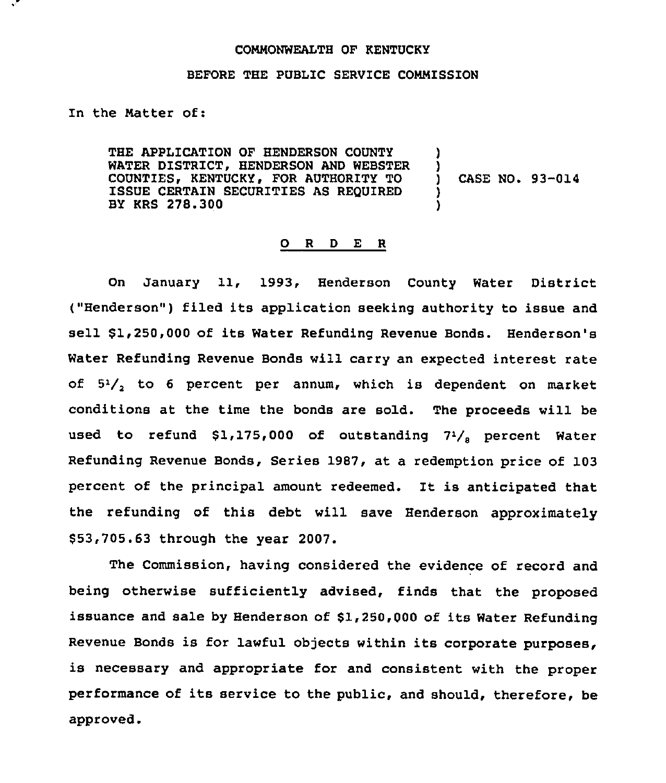## CONNONWEALTH OF KENTUCKY

## BEFORE THE PUBLIC SERVICE COMMISSION

In the Natter of:

THE APPLICATION OF HENDERSON COUNTY WATER DISTRICT, HENDERSON AND WEBSTER COUNTIES, KENTUCKY, FOR AUTHORITY TO ISSUE CERTAIN SECURITIES AS REQUIRED BY KRS 278.300

) CASE NO. 93-014

) )<br>)

) )

## 0 <sup>R</sup> <sup>D</sup> E <sup>R</sup>

On January 11, 1993, Henderson County Water District ("Henderson") filed its application seeking authority to issue and sell \$1,250,000 of its Water Refunding Revenue Bonds. Henderson's Water Refunding Revenue Bonds will carry an expected interest rate of 5'/, to <sup>6</sup> percent per annum, which is dependent on market conditions at the time the bonds are sold. The proceeds will be used to refund  $$1,175,000$  of outstanding  $7^{1}/_{s}$  percent Water Refunding Revenue Bonds, Series 1987, at a redemption price of 103 percent of the principal amount redeemed. It is anticipated that the refunding of this debt will save Henderson approximately \$ 53,705.63 through the year 2007.

The Commission, having considered the evidence of record and being otherwise sufficiently advised, finds that the proposed issuance and sale by Henderson of \$1,250,000 of its Water Refunding Revenue Bonds is for lawful objects within its corporate purposes, is necessary and appropriate for and consistent with the proper performance of its service to the public, and should, therefore, be approved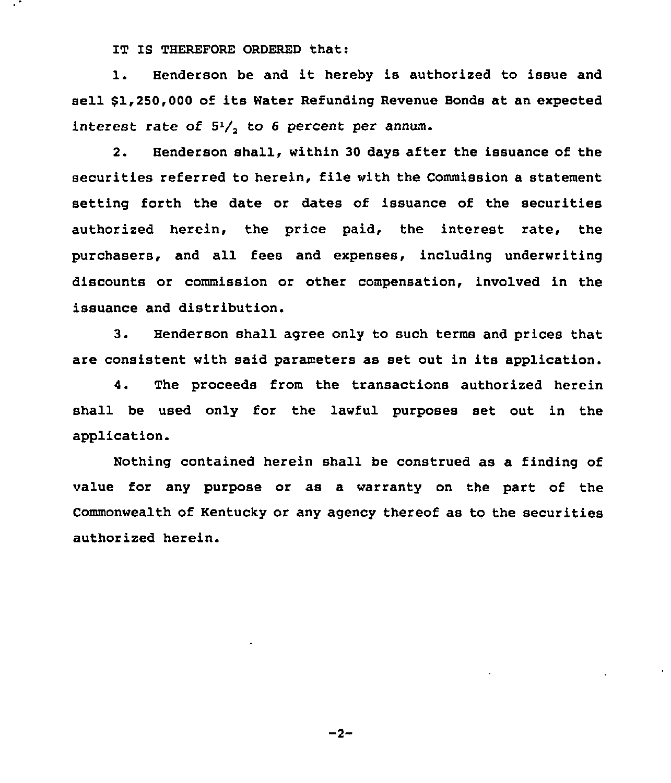IT IS THEREFORE ORDERED that:

l. Henderson be and it hereby is authorized to issue and sell \$1,250,000 of its Water Refunding Revenue Bonds at an expected interest rate of 5'/, to 6 percent per annum.

2. Henderson shall, within 30 days after the issuance of the securities referred to herein, file with the Commission a statement setting forth the date or dates of issuance of the securities authorized herein, the price paid, the interest rate, the purchasers, and all fees and expenses, including underwriting discounts or commission or other compensation, involved in the issuance and distribution.

3. Henderson shall agree only to such terms and prices that are consistent with said parameters as set out in its application.

4. The proceeds from the transactions authorized herein shall be used only for the lawful purposes set out in the application.

Nothing contained herein shalL be construed as a finding of value for any purpose or as a warranty on the part of the Commonwealth of Kentucky or any agency thereof as to the securities authorized herein.

 $-2-$